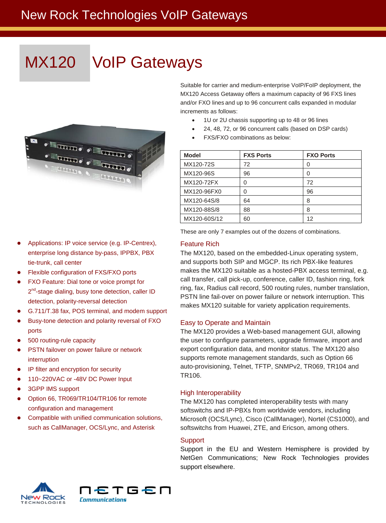### New Rock Technologies VoIP Gateways

# MX120 VoIP Gateways





- Flexible configuration of FXS/FXO ports
- FXO Feature: Dial tone or voice prompt for 2<sup>nd</sup>-stage dialing, busy tone detection, caller ID detection, polarity-reversal detection
- G.711/T.38 fax, POS terminal, and modem support
- Busy-tone detection and polarity reversal of FXO ports
- 500 routing-rule capacity
- **•** PSTN failover on power failure or network interruption
- IP filter and encryption for security
- 110~220VAC or -48V DC Power Input
- 3GPP IMS support
- Option 66, TR069/TR104/TR106 for remote configuration and management
- Compatible with unified communication solutions, such as CallManager, OCS/Lync, and Asterisk

Suitable for carrier and medium-enterprise VoIP/FoIP deployment, the MX120 Access Getaway offers a maximum capacity of 96 FXS lines and/or FXO lines and up to 96 concurrent calls expanded in modular increments as follows:

- 1U or 2U chassis supporting up to 48 or 96 lines
- 24, 48, 72, or 96 concurrent calls (based on DSP cards)
- FXS/FXO combinations as below:

| <b>Model</b> | <b>FXS Ports</b> | <b>FXO Ports</b> |
|--------------|------------------|------------------|
| MX120-72S    | 72               | 0                |
| MX120-96S    | 96               | 0                |
| MX120-72FX   | 0                | 72               |
| MX120-96FX0  | 0                | 96               |
| MX120-64S/8  | 64               | 8                |
| MX120-88S/8  | 88               | 8                |
| MX120-60S/12 | 60               | 12               |

These are only 7 examples out of the dozens of combinations.

#### Feature Rich

The MX120, based on the embedded-Linux operating system, and supports both SIP and MGCP. Its rich PBX-like features makes the MX120 suitable as a hosted-PBX access terminal, e.g. call transfer, call pick-up, conference, caller ID, fashion ring, fork ring, fax, Radius call record, 500 routing rules, number translation, PSTN line fail-over on power failure or network interruption. This makes MX120 suitable for variety application requirements.

#### Easy to Operate and Maintain

The MX120 provides a Web-based management GUI, allowing the user to configure parameters, upgrade firmware, import and export configuration data, and monitor status. The MX120 also supports remote management standards, such as Option 66 auto-provisioning, Telnet, TFTP, SNMPv2, TR069, TR104 and TR106.

#### High Interoperability

The MX120 has completed interoperability tests with many softswitchs and IP-PBXs from worldwide vendors, including Microsoft (OCS/Lync), Cisco (CallManager), Nortel (CS1000), and softswitchs from Huawei, ZTE, and Ericson, among others.

#### **Support**

Support in the EU and Western Hemisphere is provided by NetGen Communications; New Rock Technologies provides support elsewhere.